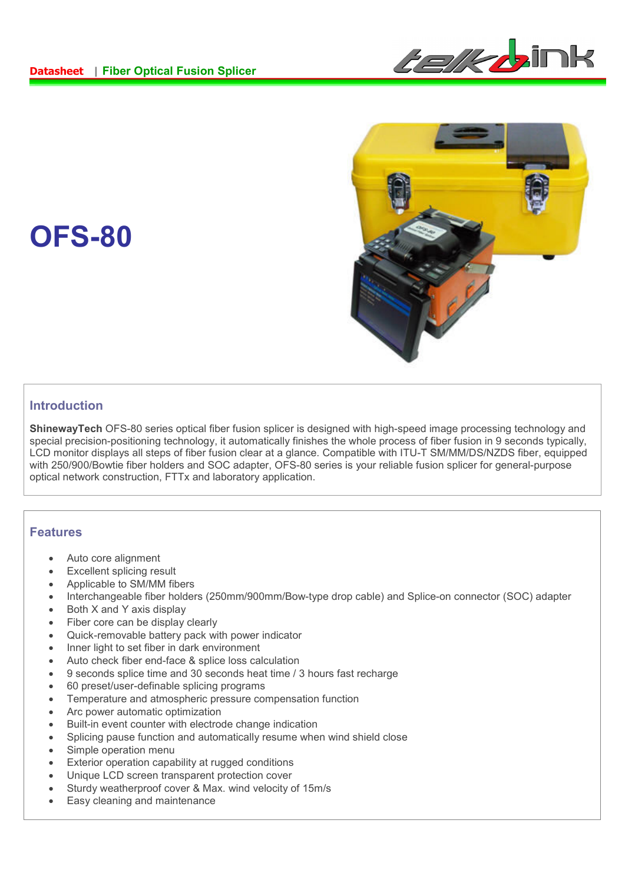



#### **Introduction**

**OFS-80**

**ShinewayTech** OFS-80 series optical fiber fusion splicer is designed with high-speed image processing technology and special precision-positioning technology, it automatically finishes the whole process of fiber fusion in 9 seconds typically, LCD monitor displays all steps of fiber fusion clear at a glance. Compatible with ITU-T SM/MM/DS/NZDS fiber, equipped with 250/900/Bowtie fiber holders and SOC adapter, OFS-80 series is your reliable fusion splicer for general-purpose optical network construction, FTTx and laboratory application.

#### **Features**

- Auto core alignment
- Excellent splicing result
- Applicable to SM/MM fibers
- Interchangeable fiber holders (250mm/900mm/Bow-type drop cable) and Splice-on connector (SOC) adapter
- Both X and Y axis display
- Fiber core can be display clearly
- Quick-removable battery pack with power indicator
- Inner light to set fiber in dark environment
- Auto check fiber end-face & splice loss calculation
- 9 seconds splice time and 30 seconds heat time / 3 hours fast recharge
- 60 preset/user-definable splicing programs
- Temperature and atmospheric pressure compensation function
- Arc power automatic optimization
- Built-in event counter with electrode change indication
- Splicing pause function and automatically resume when wind shield close
- Simple operation menu
- Exterior operation capability at rugged conditions
- Unique LCD screen transparent protection cover
- Sturdy weatherproof cover & Max. wind velocity of 15m/s
- Easy cleaning and maintenance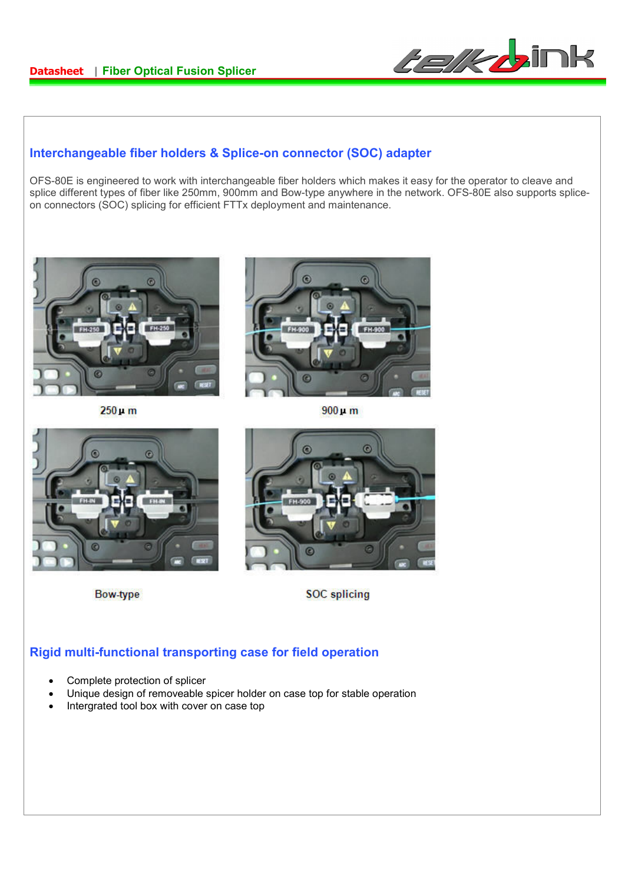

### **Interchangeable fiber holders & Splice-on connector (SOC) adapter**

OFS-80E is engineered to work with interchangeable fiber holders which makes it easy for the operator to cleave and splice different types of fiber like 250mm, 900mm and Bow-type anywhere in the network. OFS-80E also supports spliceon connectors (SOC) splicing for efficient FTTx deployment and maintenance.



 $250 \,\mu$  m



 $900 \mu m$ 



**Bow-type** 



**SOC** splicing

## **Rigid multi-functional transporting case for field operation**

- Complete protection of splicer
- Unique design of removeable spicer holder on case top for stable operation
- Intergrated tool box with cover on case top